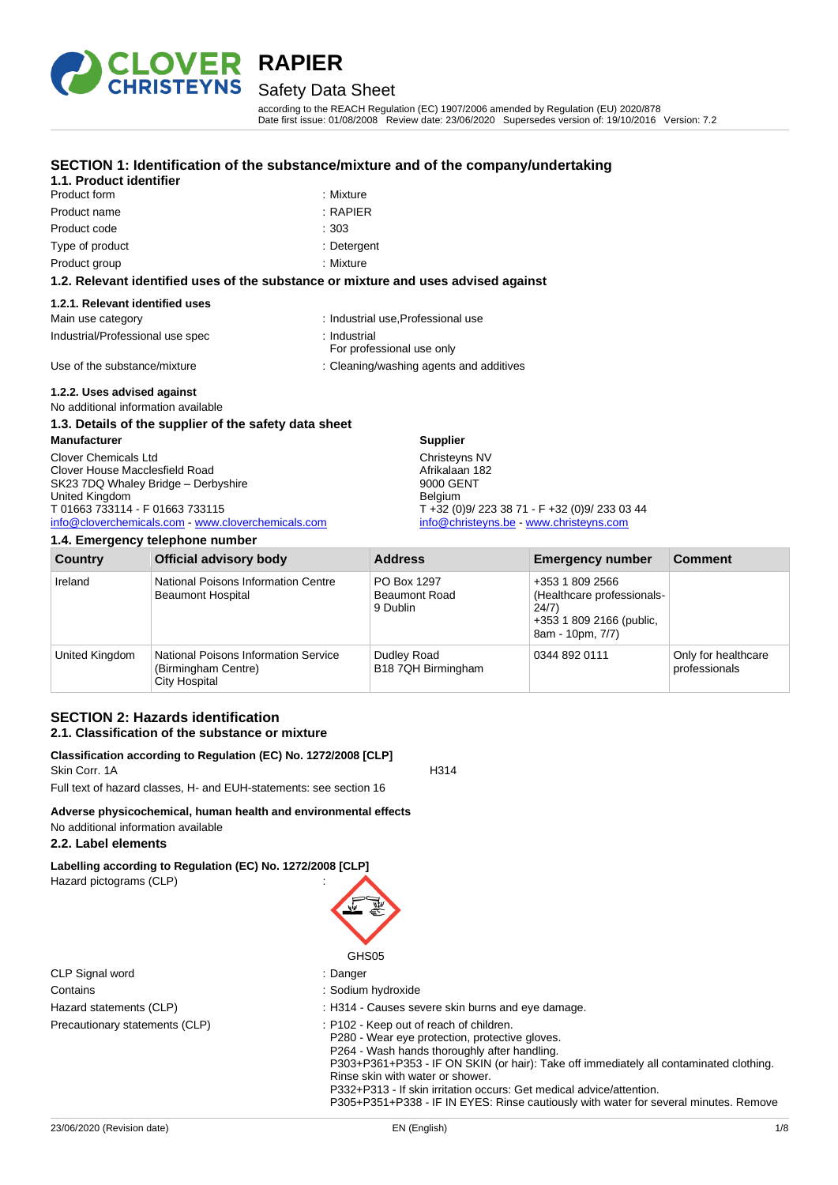

## Safety Data Sheet

according to the REACH Regulation (EC) 1907/2006 amended by Regulation (EU) 2020/878 Date first issue: 01/08/2008 Review date: 23/06/2020 Supersedes version of: 19/10/2016 Version: 7.2

#### **SECTION 1: Identification of the substance/mixture and of the company/undertaking**

## **1.1. Product identifier**

| <b>Product form</b> | : Mixture  |
|---------------------|------------|
| Product name        | $:$ RAPIEF |
| Product code        | $-303$     |
| Type of product     | : Deterge  |
| Product group       | : Mixture  |

: Mixture  $\cdot$  RAPIFR

- · Detergent
- 

#### **1.2. Relevant identified uses of the substance or mixture and uses advised against**

#### **1.2.1. Relevant identified uses**

| Main use category                | : Industrial use, Professional use        |
|----------------------------------|-------------------------------------------|
| Industrial/Professional use spec | ∴ Industrial<br>For professional use only |
| Use of the substance/mixture     | : Cleaning/washing agents and additives   |

### **1.2.2. Uses advised against**

No additional information available

## **1.3. Details of the supplier of the safety data sheet**

**Manufacturer** Clover Chemicals Ltd Clover House Macclesfield Road SK23 7DQ Whaley Bridge – Derbyshire United Kingdom T 01663 733114 - F 01663 733115 [info@cloverchemicals.com](mailto:info@cloverchemicals.com) - [www.cloverchemicals.com](http://www.cloverchemicals.com/)

#### **1.4. Emergency telephone number**

| Address                     |                                                                                                              | <b>Emergency number</b> | Comme |
|-----------------------------|--------------------------------------------------------------------------------------------------------------|-------------------------|-------|
| 9000 GENT<br><b>Belgium</b> | Afrikalaan 182<br>$T + 32 (0)9/223 38 71 - F + 32 (0)9/233 03 44$<br>info@christeyns.be - www.christeyns.com |                         |       |

| Country        | <b>Official advisory body</b>                                                | <b>Address</b>                                  | <b>Emergency number</b>                                                                                | <b>Comment</b>                       |
|----------------|------------------------------------------------------------------------------|-------------------------------------------------|--------------------------------------------------------------------------------------------------------|--------------------------------------|
| Ireland        | National Poisons Information Centre<br><b>Beaumont Hospital</b>              | PO Box 1297<br><b>Beaumont Road</b><br>9 Dublin | +353 1 809 2566<br>(Healthcare professionals-<br>24/7)<br>+353 1 809 2166 (public,<br>8am - 10pm, 7/7) |                                      |
| United Kingdom | National Poisons Information Service<br>(Birmingham Centre)<br>City Hospital | Dudley Road<br>B18 7QH Birmingham               | 0344 892 0111                                                                                          | Only for healthcare<br>professionals |

**Supplier** Christeyns NV

### **SECTION 2: Hazards identification 2.1. Classification of the substance or mixture**

#### **Classification according to Regulation (EC) No. 1272/2008 [CLP]** Skin Corr. 1A H314

Full text of hazard classes, H- and EUH-statements: see section 16

#### **Adverse physicochemical, human health and environmental effects** No additional information available

## **2.2. Label elements**

**Labelling according to Regulation (EC) No. 1272/2008 [CLP]** Hazard pictograms (CLP) :

|                                | GHS05                                                                            |
|--------------------------------|----------------------------------------------------------------------------------|
| CLP Signal word                | : Danger                                                                         |
| Contains                       | : Sodium hydroxide                                                               |
| Hazard statements (CLP)        | : H314 - Causes severe skin burns an                                             |
| Precautionary statements (CLP) | : P102 - Keep out of reach of children.<br>P280 - Wear eye protection, protectiv |

## s and eye damage.

tective gloves.

P264 - Wash hands thoroughly after handling.

P303+P361+P353 - IF ON SKIN (or hair): Take off immediately all contaminated clothing. Rinse skin with water or shower.

P332+P313 - If skin irritation occurs: Get medical advice/attention.

P305+P351+P338 - IF IN EYES: Rinse cautiously with water for several minutes. Remove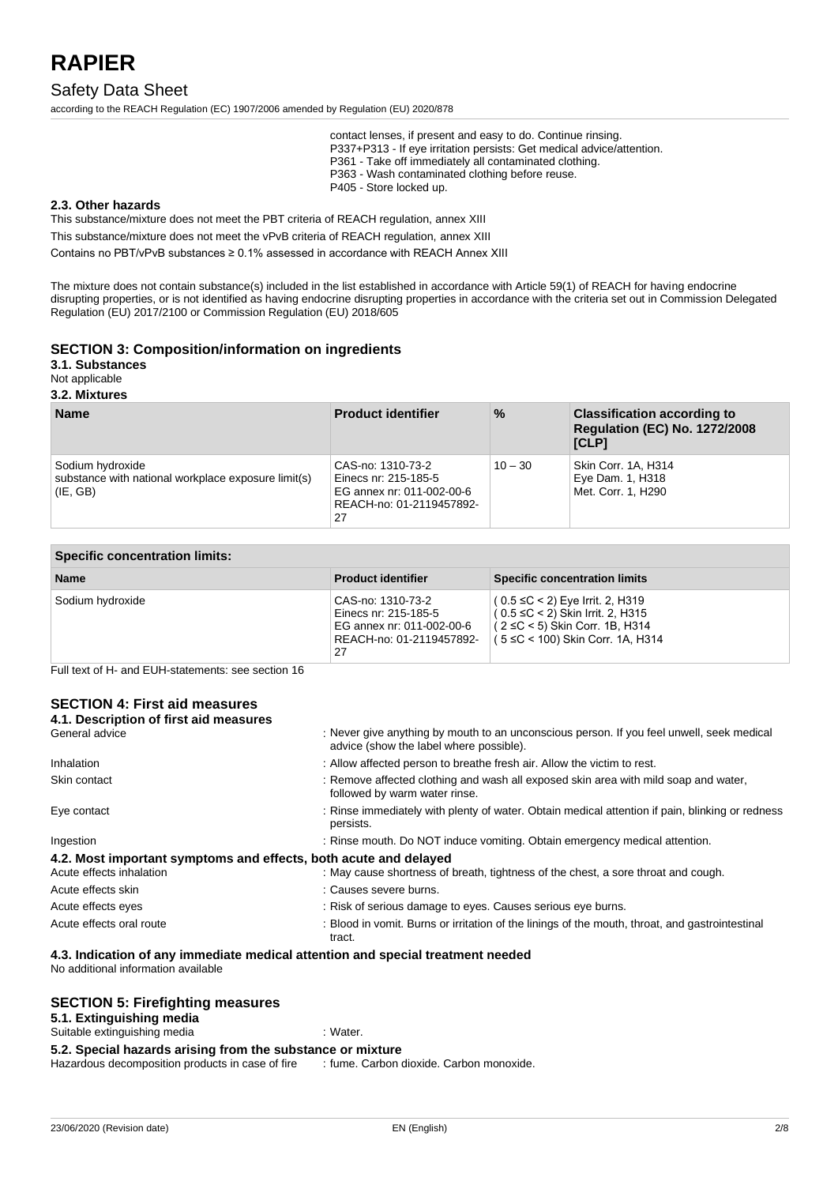### Safety Data Sheet

according to the REACH Regulation (EC) 1907/2006 amended by Regulation (EU) 2020/878

contact lenses, if present and easy to do. Continue rinsing. P337+P313 - If eye irritation persists: Get medical advice/attention. P361 - Take off immediately all contaminated clothing. P363 - Wash contaminated clothing before reuse. P405 - Store locked up.

#### **2.3. Other hazards**

This substance/mixture does not meet the PBT criteria of REACH regulation, annex XIII

This substance/mixture does not meet the vPvB criteria of REACH regulation, annex XIII

Contains no PBT/vPvB substances ≥ 0.1% assessed in accordance with REACH Annex XIII

The mixture does not contain substance(s) included in the list established in accordance with Article 59(1) of REACH for having endocrine disrupting properties, or is not identified as having endocrine disrupting properties in accordance with the criteria set out in Commission Delegated Regulation (EU) 2017/2100 or Commission Regulation (EU) 2018/605

#### **SECTION 3: Composition/information on ingredients**

**3.1. Substances**

Not applicable

#### **3.2. Mixtures**

| <b>Name</b>                                                                         | <b>Product identifier</b>                                                                                | $\%$      | <b>Classification according to</b><br><b>Regulation (EC) No. 1272/2008</b><br>[CLP] |
|-------------------------------------------------------------------------------------|----------------------------------------------------------------------------------------------------------|-----------|-------------------------------------------------------------------------------------|
| Sodium hydroxide<br>substance with national workplace exposure limit(s)<br>(IE, GB) | CAS-no: 1310-73-2<br>Einecs nr: 215-185-5<br>EG annex nr: 011-002-00-6<br>REACH-no: 01-2119457892-<br>27 | $10 - 30$ | Skin Corr. 1A, H314<br>Eye Dam. 1, H318<br>Met. Corr. 1. H290                       |

| <b>Specific concentration limits:</b> |                                                                                                          |                                                                                                                                                         |  |
|---------------------------------------|----------------------------------------------------------------------------------------------------------|---------------------------------------------------------------------------------------------------------------------------------------------------------|--|
| <b>Name</b>                           | <b>Product identifier</b>                                                                                | <b>Specific concentration limits</b>                                                                                                                    |  |
| Sodium hydroxide                      | CAS-no: 1310-73-2<br>Einecs nr: 215-185-5<br>EG annex nr: 011-002-00-6<br>REACH-no: 01-2119457892-<br>27 | $(0.5 ≤ C < 2)$ Eye Irrit. 2, H319<br>$(0.5 \leq C < 2)$ Skin Irrit. 2, H315<br>$(2 \le C < 5)$ Skin Corr. 1B, H314<br>(5 ≤C < 100) Skin Corr. 1A, H314 |  |

Full text of H- and EUH-statements: see section 16

#### **SECTION 4: First aid measures**

| 4.1. Description of first aid measures                           |                                                                                                                                      |
|------------------------------------------------------------------|--------------------------------------------------------------------------------------------------------------------------------------|
| General advice                                                   | : Never give anything by mouth to an unconscious person. If you feel unwell, seek medical<br>advice (show the label where possible). |
| Inhalation                                                       | : Allow affected person to breathe fresh air. Allow the victim to rest.                                                              |
| Skin contact                                                     | : Remove affected clothing and wash all exposed skin area with mild soap and water,<br>followed by warm water rinse.                 |
| Eye contact                                                      | : Rinse immediately with plenty of water. Obtain medical attention if pain, blinking or redness<br>persists.                         |
| Ingestion                                                        | : Rinse mouth. Do NOT induce vomiting. Obtain emergency medical attention.                                                           |
| 4.2. Most important symptoms and effects, both acute and delayed |                                                                                                                                      |
| Acute effects inhalation                                         | : May cause shortness of breath, tightness of the chest, a sore throat and cough.                                                    |
| Acute effects skin                                               | : Causes severe burns.                                                                                                               |
| Acute effects eyes                                               | : Risk of serious damage to eyes. Causes serious eye burns.                                                                          |
| Acute effects oral route                                         | : Blood in vomit. Burns or irritation of the linings of the mouth, throat, and gastrointestinal<br>tract.                            |
|                                                                  |                                                                                                                                      |

#### **4.3. Indication of any immediate medical attention and special treatment needed**

No additional information available

#### **SECTION 5: Firefighting measures**

| 5.1. Extinguishing media                                   |                                          |
|------------------------------------------------------------|------------------------------------------|
| Suitable extinguishing media                               | : Water.                                 |
| 5.2. Special hazards arising from the substance or mixture |                                          |
| Hazardous decomposition products in case of fire           | : fume. Carbon dioxide. Carbon monoxide. |
|                                                            |                                          |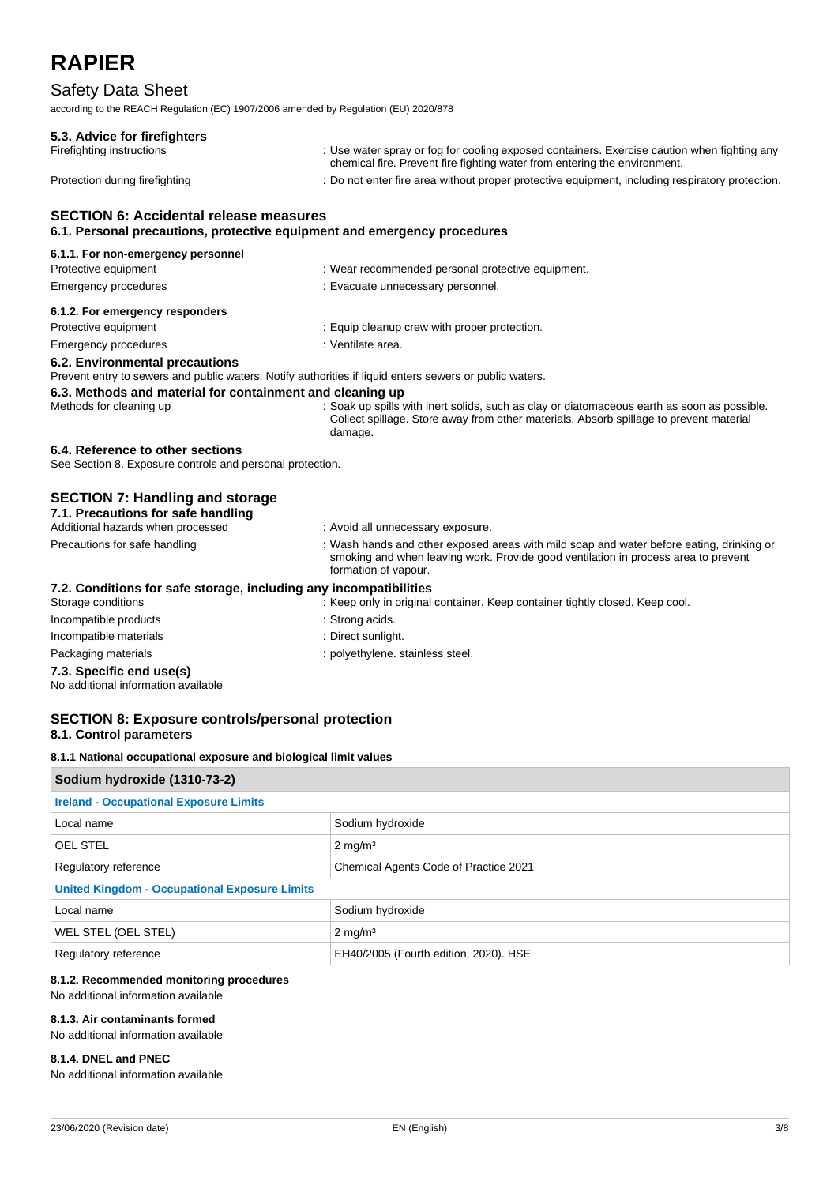## Safety Data Sheet

according to the REACH Regulation (EC) 1907/2006 amended by Regulation (EU) 2020/878

| 5.3. Advice for firefighters                                                                  |                                                                                                                                                                                                        |
|-----------------------------------------------------------------------------------------------|--------------------------------------------------------------------------------------------------------------------------------------------------------------------------------------------------------|
| Firefighting instructions                                                                     | : Use water spray or fog for cooling exposed containers. Exercise caution when fighting any<br>chemical fire. Prevent fire fighting water from entering the environment.                               |
| Protection during firefighting                                                                | : Do not enter fire area without proper protective equipment, including respiratory protection.                                                                                                        |
| <b>SECTION 6: Accidental release measures</b>                                                 |                                                                                                                                                                                                        |
| 6.1. Personal precautions, protective equipment and emergency procedures                      |                                                                                                                                                                                                        |
| 6.1.1. For non-emergency personnel                                                            |                                                                                                                                                                                                        |
| Protective equipment                                                                          | : Wear recommended personal protective equipment.                                                                                                                                                      |
| Emergency procedures                                                                          | : Evacuate unnecessary personnel.                                                                                                                                                                      |
| 6.1.2. For emergency responders                                                               |                                                                                                                                                                                                        |
| Protective equipment                                                                          | : Equip cleanup crew with proper protection.                                                                                                                                                           |
| <b>Emergency procedures</b>                                                                   | : Ventilate area.                                                                                                                                                                                      |
| 6.2. Environmental precautions                                                                |                                                                                                                                                                                                        |
|                                                                                               | Prevent entry to sewers and public waters. Notify authorities if liquid enters sewers or public waters.                                                                                                |
| 6.3. Methods and material for containment and cleaning up                                     |                                                                                                                                                                                                        |
| Methods for cleaning up                                                                       | : Soak up spills with inert solids, such as clay or diatomaceous earth as soon as possible.<br>Collect spillage. Store away from other materials. Absorb spillage to prevent material<br>damage.       |
| 6.4. Reference to other sections<br>See Section 8. Exposure controls and personal protection. |                                                                                                                                                                                                        |
| <b>SECTION 7: Handling and storage</b>                                                        |                                                                                                                                                                                                        |
| 7.1. Precautions for safe handling                                                            |                                                                                                                                                                                                        |
| Additional hazards when processed                                                             | : Avoid all unnecessary exposure.                                                                                                                                                                      |
| Precautions for safe handling                                                                 | : Wash hands and other exposed areas with mild soap and water before eating, drinking or<br>smoking and when leaving work. Provide good ventilation in process area to prevent<br>formation of vapour. |
| 7.2. Conditions for safe storage, including any incompatibilities                             |                                                                                                                                                                                                        |
| Storage conditions                                                                            | : Keep only in original container. Keep container tightly closed. Keep cool.                                                                                                                           |
| Incompatible products                                                                         | : Strong acids.                                                                                                                                                                                        |
| Incompatible materials                                                                        | : Direct sunlight.                                                                                                                                                                                     |
| Packaging materials                                                                           | : polyethylene. stainless steel.                                                                                                                                                                       |
| 7.3. Specific end use(s)<br>No additional information available                               |                                                                                                                                                                                                        |

#### **SECTION 8: Exposure controls/personal protection 8.1. Control parameters**

**8.1.1 National occupational exposure and biological limit values**

| Sodium hydroxide (1310-73-2)                                  |                    |  |
|---------------------------------------------------------------|--------------------|--|
| <b>Ireland - Occupational Exposure Limits</b>                 |                    |  |
| Local name                                                    | Sodium hydroxide   |  |
| <b>OEL STEL</b>                                               | $2 \text{ mg/m}^3$ |  |
| Chemical Agents Code of Practice 2021<br>Regulatory reference |                    |  |
| <b>United Kingdom - Occupational Exposure Limits</b>          |                    |  |
| Local name                                                    | Sodium hydroxide   |  |
| WEL STEL (OEL STEL)                                           | $2 \text{ mg/m}^3$ |  |
| EH40/2005 (Fourth edition, 2020). HSE<br>Regulatory reference |                    |  |

#### **8.1.2. Recommended monitoring procedures**

No additional information available

#### **8.1.3. Air contaminants formed**

No additional information available

#### **8.1.4. DNEL and PNEC**

No additional information available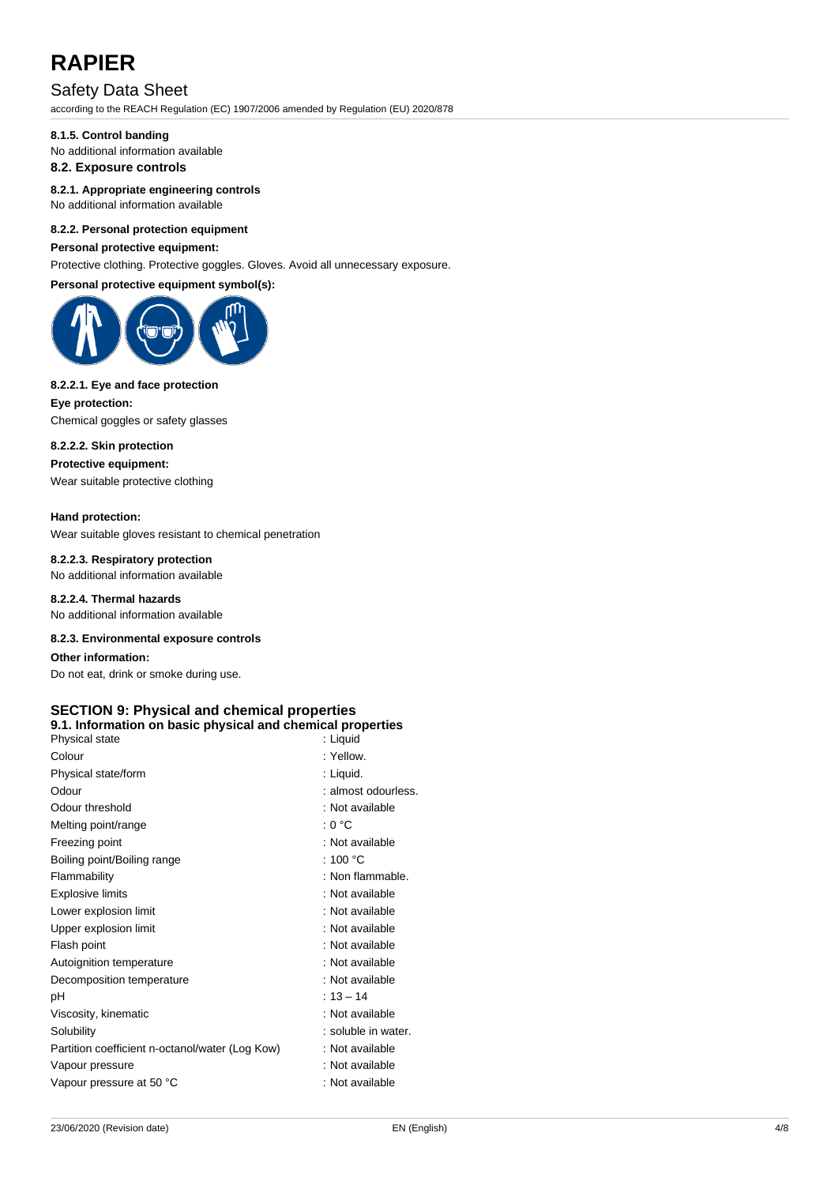## Safety Data Sheet

according to the REACH Regulation (EC) 1907/2006 amended by Regulation (EU) 2020/878

#### **8.1.5. Control banding**

No additional information available

### **8.2. Exposure controls**

**8.2.1. Appropriate engineering controls**

### No additional information available

#### **8.2.2. Personal protection equipment**

#### **Personal protective equipment:**

Protective clothing. Protective goggles. Gloves. Avoid all unnecessary exposure.

#### **Personal protective equipment symbol(s):**



#### **8.2.2.1. Eye and face protection**

**Eye protection:** Chemical goggles or safety glasses

#### **8.2.2.2. Skin protection**

**Protective equipment:**

## Wear suitable protective clothing

#### **Hand protection:**

Wear suitable gloves resistant to chemical penetration

#### **8.2.2.3. Respiratory protection**

No additional information available

### **8.2.2.4. Thermal hazards**

No additional information available

#### **8.2.3. Environmental exposure controls**

**Other information:** Do not eat, drink or smoke during use.

#### **SECTION 9: Physical and chemical properties 9.1. Information on basic physical and chemical properties**

| Physical state                                  | : Liquid            |
|-------------------------------------------------|---------------------|
| Colour                                          | : Yellow.           |
| Physical state/form                             | : Liquid.           |
| Odour                                           | : almost odourless. |
| Odour threshold                                 | : Not available     |
| Melting point/range                             | : 0 °C              |
| Freezing point                                  | : Not available     |
| Boiling point/Boiling range                     | : 100 $^{\circ}$ C  |
| Flammability                                    | : Non flammable.    |
| <b>Explosive limits</b>                         | : Not available     |
| Lower explosion limit                           | : Not available     |
| Upper explosion limit                           | : Not available     |
| Flash point                                     | : Not available     |
| Autoignition temperature                        | : Not available     |
| Decomposition temperature                       | : Not available     |
| рH                                              | $: 13 - 14$         |
| Viscosity, kinematic                            | : Not available     |
| Solubility                                      | : soluble in water. |
| Partition coefficient n-octanol/water (Log Kow) | : Not available     |
| Vapour pressure                                 | : Not available     |
| Vapour pressure at 50 °C                        | : Not available     |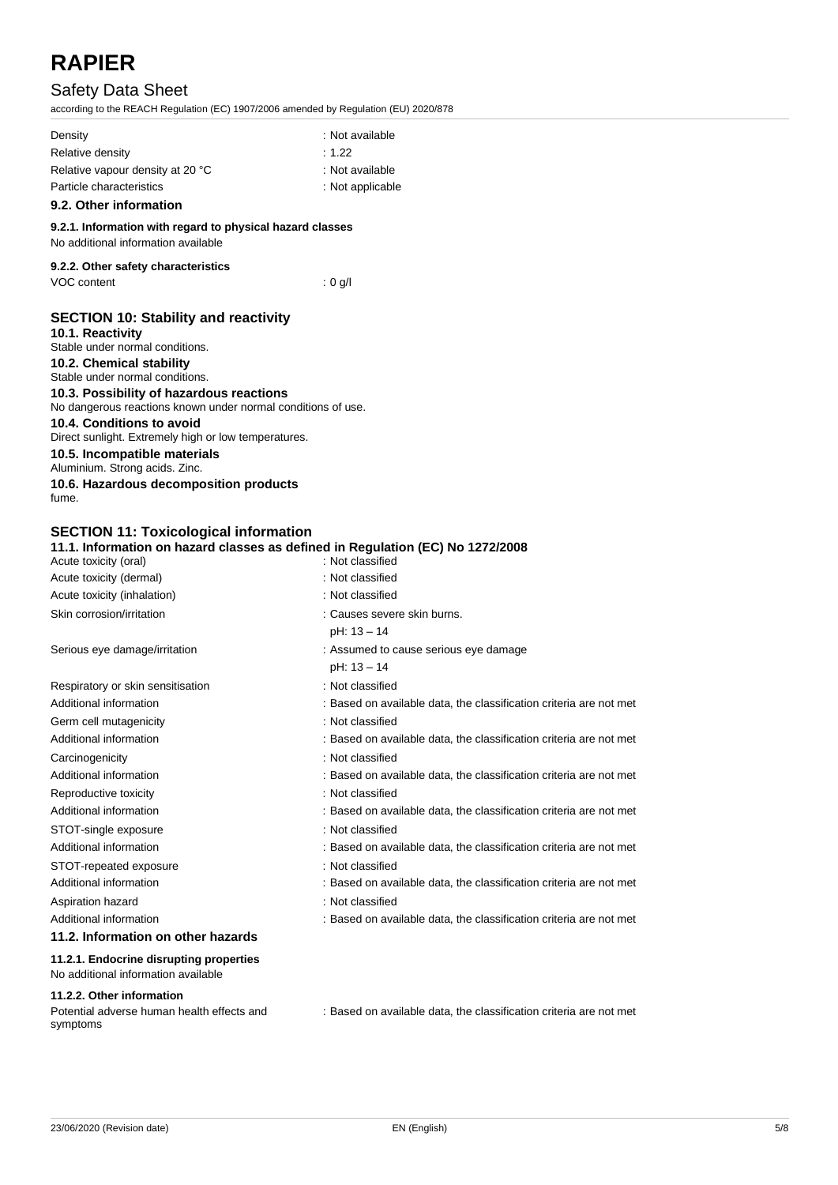## Safety Data Sheet

according to the REACH Regulation (EC) 1907/2006 amended by Regulation (EU) 2020/878

| Density                          | : Not available    |
|----------------------------------|--------------------|
| Relative density                 | :1.22              |
| Relative vapour density at 20 °C | : Not available    |
| Particle characteristics         | $:$ Not applicable |
|                                  |                    |

### **9.2. Other information**

**9.2.1. Information with regard to physical hazard classes** No additional information available

### **9.2.2. Other safety characteristics** VOC content : 0 g/l

### **SECTION 10: Stability and reactivity 10.1. Reactivity**

| Stable under normal conditions.                                |
|----------------------------------------------------------------|
| 10.2. Chemical stability                                       |
| Stable under normal conditions.                                |
| 10.3. Possibility of hazardous reactions                       |
| No dangerous reactions known under normal conditions of use.   |
| 10.4. Conditions to avoid                                      |
| Direct sunlight. Extremely high or low temperatures.           |
| 10.5. Incompatible materials<br>Aluminium. Strong acids. Zinc. |
| 10.6. Hazardous decomposition products                         |
| fume.                                                          |
|                                                                |

### **SECTION 11: Toxicological information**

| 11.1. Information on hazard classes as defined in Regulation (EC) No 1272/2008 |                                                                    |
|--------------------------------------------------------------------------------|--------------------------------------------------------------------|
| Acute toxicity (oral)                                                          | : Not classified                                                   |
| Acute toxicity (dermal)                                                        | : Not classified                                                   |
| Acute toxicity (inhalation)                                                    | : Not classified                                                   |
| Skin corrosion/irritation                                                      | : Causes severe skin burns.                                        |
|                                                                                | pH: 13 - 14                                                        |
| Serious eye damage/irritation                                                  | : Assumed to cause serious eye damage                              |
|                                                                                | pH: 13 - 14                                                        |
| Respiratory or skin sensitisation                                              | : Not classified                                                   |
| Additional information                                                         | : Based on available data, the classification criteria are not met |
| Germ cell mutagenicity                                                         | : Not classified                                                   |
| Additional information                                                         | : Based on available data, the classification criteria are not met |
| Carcinogenicity                                                                | : Not classified                                                   |
| Additional information                                                         | : Based on available data, the classification criteria are not met |
| Reproductive toxicity                                                          | : Not classified                                                   |
| Additional information                                                         | : Based on available data, the classification criteria are not met |
| STOT-single exposure                                                           | : Not classified                                                   |
| Additional information                                                         | : Based on available data, the classification criteria are not met |
| STOT-repeated exposure                                                         | : Not classified                                                   |
| Additional information                                                         | : Based on available data, the classification criteria are not met |
| Aspiration hazard                                                              | : Not classified                                                   |
| Additional information                                                         | : Based on available data, the classification criteria are not met |
| 11.2. Information on other hazards                                             |                                                                    |
| 11.2.1. Endocrine disrupting properties                                        |                                                                    |
| No additional information available                                            |                                                                    |

#### **11.2.2. Other information**

Potential adverse human health effects and symptoms

: Based on available data, the classification criteria are not met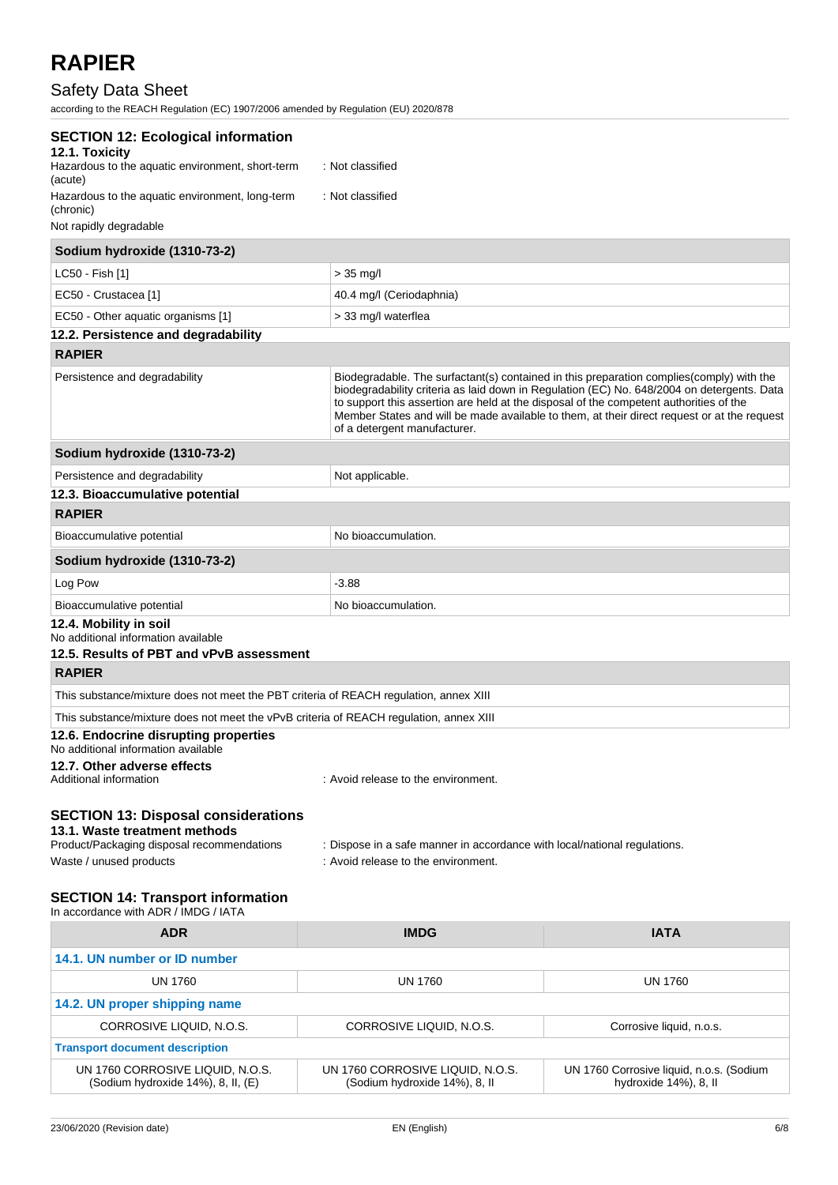## Safety Data Sheet

according to the REACH Regulation (EC) 1907/2006 amended by Regulation (EU) 2020/878

| <b>SECTION 12: Ecological information</b><br>12.1. Toxicity                                                               |                                                                                                                                                                                                                                                                                                                                                                                                                 |
|---------------------------------------------------------------------------------------------------------------------------|-----------------------------------------------------------------------------------------------------------------------------------------------------------------------------------------------------------------------------------------------------------------------------------------------------------------------------------------------------------------------------------------------------------------|
| Hazardous to the aquatic environment, short-term<br>(acute)                                                               | : Not classified                                                                                                                                                                                                                                                                                                                                                                                                |
| Hazardous to the aquatic environment, long-term<br>(chronic)                                                              | : Not classified                                                                                                                                                                                                                                                                                                                                                                                                |
| Not rapidly degradable                                                                                                    |                                                                                                                                                                                                                                                                                                                                                                                                                 |
| Sodium hydroxide (1310-73-2)                                                                                              |                                                                                                                                                                                                                                                                                                                                                                                                                 |
| LC50 - Fish [1]                                                                                                           | $> 35$ mg/l                                                                                                                                                                                                                                                                                                                                                                                                     |
| EC50 - Crustacea [1]                                                                                                      | 40.4 mg/l (Ceriodaphnia)                                                                                                                                                                                                                                                                                                                                                                                        |
| EC50 - Other aquatic organisms [1]                                                                                        | > 33 mg/l waterflea                                                                                                                                                                                                                                                                                                                                                                                             |
| 12.2. Persistence and degradability                                                                                       |                                                                                                                                                                                                                                                                                                                                                                                                                 |
| <b>RAPIER</b>                                                                                                             |                                                                                                                                                                                                                                                                                                                                                                                                                 |
| Persistence and degradability                                                                                             | Biodegradable. The surfactant(s) contained in this preparation complies(comply) with the<br>biodegradability criteria as laid down in Regulation (EC) No. 648/2004 on detergents. Data<br>to support this assertion are held at the disposal of the competent authorities of the<br>Member States and will be made available to them, at their direct request or at the request<br>of a detergent manufacturer. |
| Sodium hydroxide (1310-73-2)                                                                                              |                                                                                                                                                                                                                                                                                                                                                                                                                 |
| Persistence and degradability                                                                                             | Not applicable.                                                                                                                                                                                                                                                                                                                                                                                                 |
| 12.3. Bioaccumulative potential                                                                                           |                                                                                                                                                                                                                                                                                                                                                                                                                 |
| <b>RAPIER</b>                                                                                                             |                                                                                                                                                                                                                                                                                                                                                                                                                 |
| Bioaccumulative potential                                                                                                 | No bioaccumulation.                                                                                                                                                                                                                                                                                                                                                                                             |
| Sodium hydroxide (1310-73-2)                                                                                              |                                                                                                                                                                                                                                                                                                                                                                                                                 |
| Log Pow                                                                                                                   | $-3.88$                                                                                                                                                                                                                                                                                                                                                                                                         |
| Bioaccumulative potential                                                                                                 | No bioaccumulation.                                                                                                                                                                                                                                                                                                                                                                                             |
| 12.4. Mobility in soil<br>No additional information available<br>12.5. Results of PBT and vPvB assessment                 |                                                                                                                                                                                                                                                                                                                                                                                                                 |
| <b>RAPIER</b>                                                                                                             |                                                                                                                                                                                                                                                                                                                                                                                                                 |
| This substance/mixture does not meet the PBT criteria of REACH regulation, annex XIII                                     |                                                                                                                                                                                                                                                                                                                                                                                                                 |
| This substance/mixture does not meet the vPvB criteria of REACH regulation, annex XIII                                    |                                                                                                                                                                                                                                                                                                                                                                                                                 |
| 12.6. Endocrine disrupting properties<br>No additional information available                                              |                                                                                                                                                                                                                                                                                                                                                                                                                 |
| 12.7. Other adverse effects<br>Additional information                                                                     | : Avoid release to the environment.                                                                                                                                                                                                                                                                                                                                                                             |
| <b>SECTION 13: Disposal considerations</b><br>13.1. Waste treatment methods<br>Product/Packaging disposal recommendations | : Dispose in a safe manner in accordance with local/national requlations.                                                                                                                                                                                                                                                                                                                                       |
|                                                                                                                           |                                                                                                                                                                                                                                                                                                                                                                                                                 |

Waste / unused products in the environment.

### **SECTION 14: Transport information**

| <b>IMDG</b>                                                       | <b>IATA</b>                                                       |
|-------------------------------------------------------------------|-------------------------------------------------------------------|
|                                                                   |                                                                   |
| UN 1760                                                           | UN 1760                                                           |
|                                                                   |                                                                   |
| CORROSIVE LIQUID, N.O.S.                                          | Corrosive liquid, n.o.s.                                          |
|                                                                   |                                                                   |
| UN 1760 CORROSIVE LIQUID, N.O.S.<br>(Sodium hydroxide 14%), 8, II | UN 1760 Corrosive liquid, n.o.s. (Sodium<br>hydroxide 14%), 8, II |
|                                                                   |                                                                   |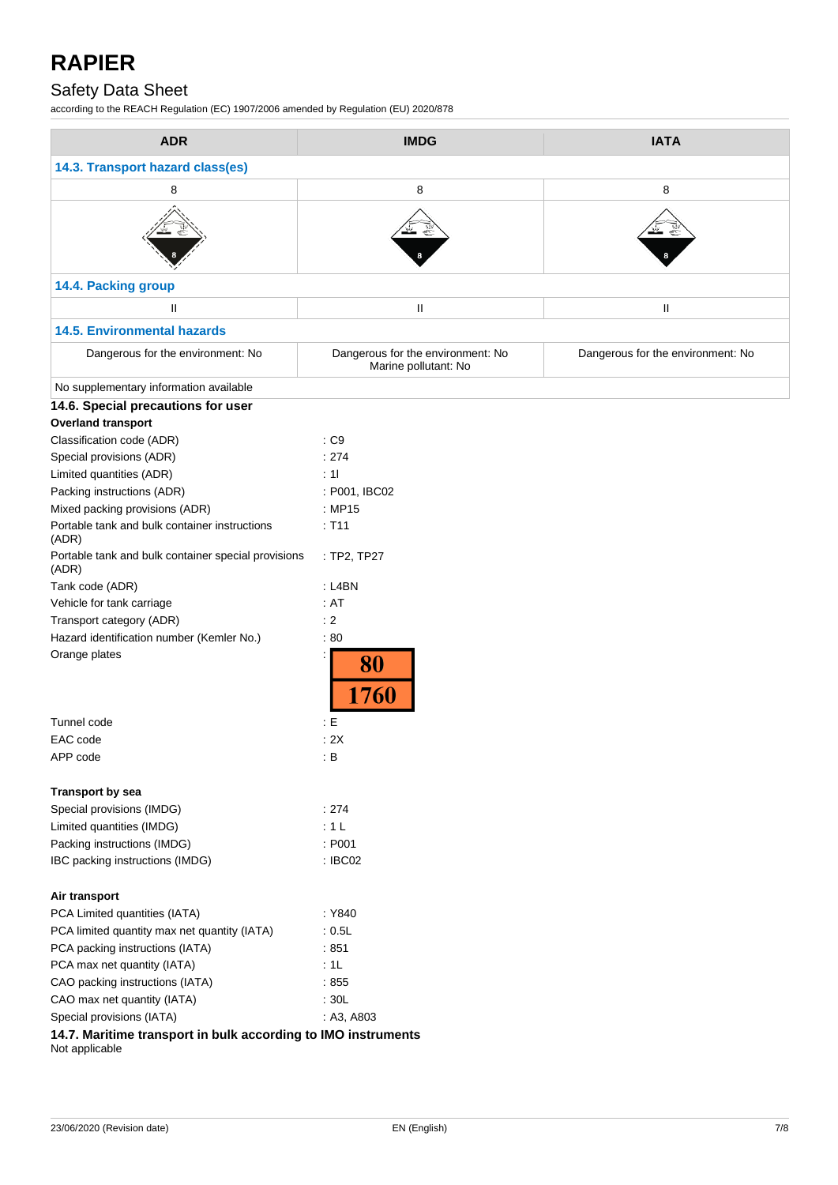## Safety Data Sheet

according to the REACH Regulation (EC) 1907/2006 amended by Regulation (EU) 2020/878

| <b>ADR</b>                                                                      | <b>IMDG</b>                                               | <b>IATA</b>                       |  |  |
|---------------------------------------------------------------------------------|-----------------------------------------------------------|-----------------------------------|--|--|
| 14.3. Transport hazard class(es)                                                |                                                           |                                   |  |  |
| 8                                                                               | 8                                                         | 8                                 |  |  |
|                                                                                 |                                                           |                                   |  |  |
| 14.4. Packing group                                                             |                                                           |                                   |  |  |
| $\mathbf{H}$                                                                    | Ш                                                         | $\rm H$                           |  |  |
| <b>14.5. Environmental hazards</b>                                              |                                                           |                                   |  |  |
| Dangerous for the environment: No                                               | Dangerous for the environment: No<br>Marine pollutant: No | Dangerous for the environment: No |  |  |
| No supplementary information available                                          |                                                           |                                   |  |  |
| 14.6. Special precautions for user                                              |                                                           |                                   |  |  |
| <b>Overland transport</b>                                                       |                                                           |                                   |  |  |
| Classification code (ADR)                                                       | : C9                                                      |                                   |  |  |
| Special provisions (ADR)                                                        | : 274                                                     |                                   |  |  |
| Limited quantities (ADR)                                                        | : 11                                                      |                                   |  |  |
| Packing instructions (ADR)                                                      | : P001, IBC02                                             |                                   |  |  |
| Mixed packing provisions (ADR)                                                  | : MP15                                                    |                                   |  |  |
| Portable tank and bulk container instructions<br>(ADR)                          | : T11                                                     |                                   |  |  |
| Portable tank and bulk container special provisions<br>(ADR)                    | : TP2, TP27                                               |                                   |  |  |
| Tank code (ADR)                                                                 | : L4BN                                                    |                                   |  |  |
| Vehicle for tank carriage                                                       | : AT                                                      |                                   |  |  |
| Transport category (ADR)                                                        | : 2                                                       |                                   |  |  |
| Hazard identification number (Kemler No.)                                       | :80                                                       |                                   |  |  |
| Orange plates                                                                   | 80<br>1760                                                |                                   |  |  |
| Tunnel code                                                                     | : E                                                       |                                   |  |  |
| EAC code                                                                        | : 2X                                                      |                                   |  |  |
| APP code                                                                        | : B                                                       |                                   |  |  |
| <b>Transport by sea</b>                                                         |                                                           |                                   |  |  |
| Special provisions (IMDG)                                                       | : 274                                                     |                                   |  |  |
| Limited quantities (IMDG)                                                       | :1L                                                       |                                   |  |  |
| Packing instructions (IMDG)                                                     | : P001                                                    |                                   |  |  |
| IBC packing instructions (IMDG)                                                 | : IBC02                                                   |                                   |  |  |
| Air transport                                                                   |                                                           |                                   |  |  |
| PCA Limited quantities (IATA)                                                   | : Y840                                                    |                                   |  |  |
| PCA limited quantity max net quantity (IATA)                                    | : 0.5L                                                    |                                   |  |  |
| PCA packing instructions (IATA)                                                 | :851                                                      |                                   |  |  |
| PCA max net quantity (IATA)                                                     | :1L                                                       |                                   |  |  |
| CAO packing instructions (IATA)                                                 | :855                                                      |                                   |  |  |
| CAO max net quantity (IATA)                                                     | : 30L                                                     |                                   |  |  |
| Special provisions (IATA)                                                       | : A3, A803                                                |                                   |  |  |
| 14.7. Maritime transport in bulk according to IMO instruments<br>Not applicable |                                                           |                                   |  |  |